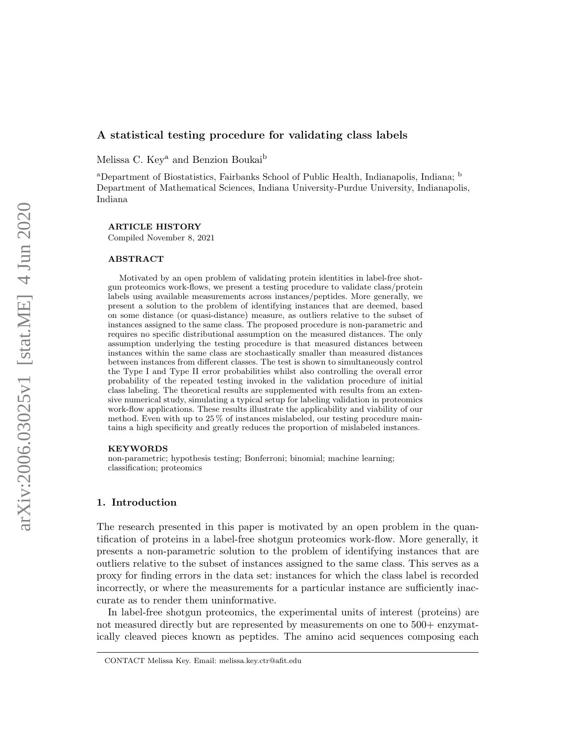## A statistical testing procedure for validating class labels

Melissa C. Key<sup>a</sup> and Benzion Boukai<sup>b</sup>

<sup>a</sup>Department of Biostatistics, Fairbanks School of Public Health, Indianapolis, Indiana; <sup>b</sup> Department of Mathematical Sciences, Indiana University-Purdue University, Indianapolis, Indiana

ARTICLE HISTORY

Compiled November 8, 2021

#### ABSTRACT

Motivated by an open problem of validating protein identities in label-free shotgun proteomics work-flows, we present a testing procedure to validate class/protein labels using available measurements across instances/peptides. More generally, we present a solution to the problem of identifying instances that are deemed, based on some distance (or quasi-distance) measure, as outliers relative to the subset of instances assigned to the same class. The proposed procedure is non-parametric and requires no specific distributional assumption on the measured distances. The only assumption underlying the testing procedure is that measured distances between instances within the same class are stochastically smaller than measured distances between instances from different classes. The test is shown to simultaneously control the Type I and Type II error probabilities whilst also controlling the overall error probability of the repeated testing invoked in the validation procedure of initial class labeling. The theoretical results are supplemented with results from an extensive numerical study, simulating a typical setup for labeling validation in proteomics work-flow applications. These results illustrate the applicability and viability of our method. Even with up to 25 % of instances mislabeled, our testing procedure maintains a high specificity and greatly reduces the proportion of mislabeled instances.

#### KEYWORDS

non-parametric; hypothesis testing; Bonferroni; binomial; machine learning; classification; proteomics

## 1. Introduction

The research presented in this paper is motivated by an open problem in the quantification of proteins in a label-free shotgun proteomics work-flow. More generally, it presents a non-parametric solution to the problem of identifying instances that are outliers relative to the subset of instances assigned to the same class. This serves as a proxy for finding errors in the data set: instances for which the class label is recorded incorrectly, or where the measurements for a particular instance are sufficiently inaccurate as to render them uninformative.

In label-free shotgun proteomics, the experimental units of interest (proteins) are not measured directly but are represented by measurements on one to 500+ enzymatically cleaved pieces known as peptides. The amino acid sequences composing each

CONTACT Melissa Key. Email: melissa.key.ctr@afit.edu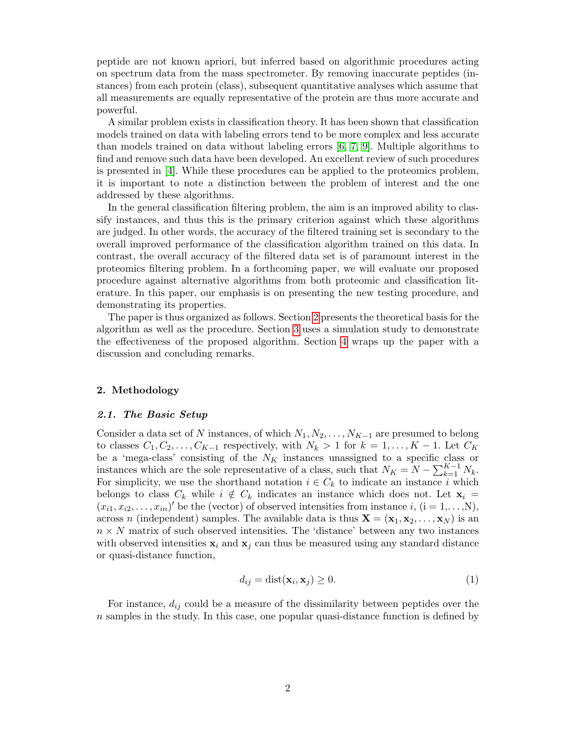peptide are not known apriori, but inferred based on algorithmic procedures acting on spectrum data from the mass spectrometer. By removing inaccurate peptides (instances) from each protein (class), subsequent quantitative analyses which assume that all measurements are equally representative of the protein are thus more accurate and powerful.

A similar problem exists in classification theory. It has been shown that classification models trained on data with labeling errors tend to be more complex and less accurate than models trained on data without labeling errors [\[6,](#page-18-0) [7,](#page-18-1) [9\]](#page-18-2). Multiple algorithms to find and remove such data have been developed. An excellent review of such procedures is presented in [\[4\]](#page-18-3). While these procedures can be applied to the proteomics problem, it is important to note a distinction between the problem of interest and the one addressed by these algorithms.

In the general classification filtering problem, the aim is an improved ability to classify instances, and thus this is the primary criterion against which these algorithms are judged. In other words, the accuracy of the filtered training set is secondary to the overall improved performance of the classification algorithm trained on this data. In contrast, the overall accuracy of the filtered data set is of paramount interest in the proteomics filtering problem. In a forthcoming paper, we will evaluate our proposed procedure against alternative algorithms from both proteomic and classification literature. In this paper, our emphasis is on presenting the new testing procedure, and demonstrating its properties.

The paper is thus organized as follows. Section [2](#page-1-0) presents the theoretical basis for the algorithm as well as the procedure. Section [3](#page-7-0) uses a simulation study to demonstrate the effectiveness of the proposed algorithm. Section [4](#page-16-0) wraps up the paper with a discussion and concluding remarks.

#### <span id="page-1-0"></span>2. Methodology

#### 2.1. The Basic Setup

Consider a data set of N instances, of which  $N_1, N_2, \ldots, N_{K-1}$  are presumed to belong to classes  $C_1, C_2, \ldots, C_{K-1}$  respectively, with  $N_k > 1$  for  $k = 1, \ldots, K-1$ . Let  $C_K$ be a 'mega-class' consisting of the  $N_K$  instances unassigned to a specific class or instances which are the sole representative of a class, such that  $N_K = N - \sum_{k=1}^{K-1} N_k$ . For simplicity, we use the shorthand notation  $i \in C_k$  to indicate an instance i which belongs to class  $C_k$  while  $i \notin C_k$  indicates an instance which does not. Let  $\mathbf{x}_i =$  $(x_{i1}, x_{i2}, \ldots, x_{in})'$  be the (vector) of observed intensities from instance i, (i = 1,...,N), across n (independent) samples. The available data is thus  $\mathbf{X} = (\mathbf{x}_1, \mathbf{x}_2, \dots, \mathbf{x}_N)$  is an  $n \times N$  matrix of such observed intensities. The 'distance' between any two instances with observed intensities  $x_i$  and  $x_j$  can thus be measured using any standard distance or quasi-distance function,

$$
d_{ij} = \text{dist}(\mathbf{x}_i, \mathbf{x}_j) \ge 0. \tag{1}
$$

For instance,  $d_{ij}$  could be a measure of the dissimilarity between peptides over the  $n$  samples in the study. In this case, one popular quasi-distance function is defined by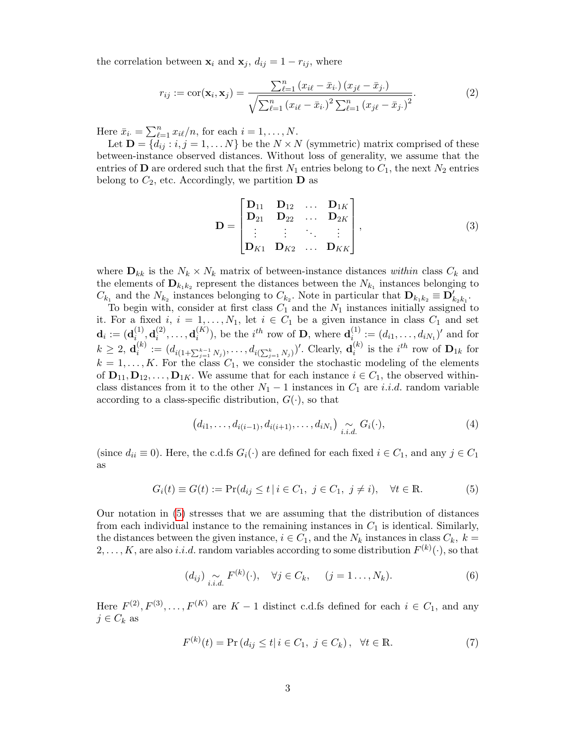the correlation between  $\mathbf{x}_i$  and  $\mathbf{x}_j$ ,  $d_{ij} = 1 - r_{ij}$ , where

$$
r_{ij} := \text{cor}(\mathbf{x}_i, \mathbf{x}_j) = \frac{\sum_{\ell=1}^n (x_{i\ell} - \bar{x}_{i\cdot}) (x_{j\ell} - \bar{x}_{j\cdot})}{\sqrt{\sum_{\ell=1}^n (x_{i\ell} - \bar{x}_{i\cdot})^2 \sum_{\ell=1}^n (x_{j\ell} - \bar{x}_{j\cdot})^2}}.
$$
(2)

Here  $\bar{x}_{i.} = \sum_{\ell=1}^{n} x_{i\ell}/n$ , for each  $i = 1, ..., N$ .

Let  $\mathbf{D} = \{d_{ij} : i, j = 1, \dots N\}$  be the  $N \times N$  (symmetric) matrix comprised of these between-instance observed distances. Without loss of generality, we assume that the entries of **D** are ordered such that the first  $N_1$  entries belong to  $C_1$ , the next  $N_2$  entries belong to  $C_2$ , etc. Accordingly, we partition **D** as

$$
\mathbf{D} = \begin{bmatrix} \mathbf{D}_{11} & \mathbf{D}_{12} & \dots & \mathbf{D}_{1K} \\ \mathbf{D}_{21} & \mathbf{D}_{22} & \dots & \mathbf{D}_{2K} \\ \vdots & \vdots & \ddots & \vdots \\ \mathbf{D}_{K1} & \mathbf{D}_{K2} & \dots & \mathbf{D}_{KK} \end{bmatrix},
$$
(3)

where  $\mathbf{D}_{kk}$  is the  $N_k \times N_k$  matrix of between-instance distances within class  $C_k$  and the elements of  $\mathbf{D}_{k_1k_2}$  represent the distances between the  $N_{k_1}$  instances belonging to  $C_{k_1}$  and the  $N_{k_2}$  instances belonging to  $C_{k_2}$ . Note in particular that  $\mathbf{D}_{k_1k_2} \equiv \mathbf{D}'_{k_2k_1}$ .

To begin with, consider at first class  $C_1$  and the  $N_1$  instances initially assigned to it. For a fixed i,  $i = 1, ..., N_1$ , let  $i \in C_1$  be a given instance in class  $C_1$  and set  $\mathbf{d}_i := (\mathbf{d}_i^{(1)}$  $\mathbf{d}_{i}^{(1)}, \mathbf{d}_{i}^{(2)}$  $\mathbf{d}_i^{(2)},\ldots,\mathbf{d}_i^{(K)}$  $\mathbf{a}_i^{(K)}$ ), be the  $i^{th}$  row of **D**, where  $\mathbf{d}_{i}^{(1)}$  $i_{i}^{(1)} := (d_{i1}, \ldots, d_{iN_1})'$  and for  $k \geq 2, \mathbf{d}_i^{(k)}$  $i^{(k)} := (d_{i(1+\sum_{j=1}^{k-1} N_j)}, \ldots, d_{i(\sum_{j=1}^{k} N_j)})'$ . Clearly,  $\mathbf{d}_i^{(k)}$  $i^{(k)}$  is the  $i^{th}$  row of  $\mathbf{D}_{1k}$  for  $k = 1, \ldots, K$ . For the class  $C_1$ , we consider the stochastic modeling of the elements of  $\mathbf{D}_{11}, \mathbf{D}_{12}, \ldots, \mathbf{D}_{1K}$ . We assume that for each instance  $i \in C_1$ , the observed withinclass distances from it to the other  $N_1 - 1$  instances in  $C_1$  are *i.i.d.* random variable according to a class-specific distribution,  $G(\cdot)$ , so that

$$
(d_{i1},\ldots,d_{i(i-1)},d_{i(i+1)},\ldots,d_{iN_1})\sum_{i.i.d.}G_i(\cdot),
$$
\n(4)

(since  $d_{ii} \equiv 0$ ). Here, the c.d.fs  $G_i(\cdot)$  are defined for each fixed  $i \in C_1$ , and any  $j \in C_1$ as

<span id="page-2-0"></span>
$$
G_i(t) \equiv G(t) := \Pr(d_{ij} \le t \mid i \in C_1, \ j \in C_1, \ j \ne i), \quad \forall t \in \mathbb{R}.
$$
 (5)

Our notation in [\(5\)](#page-2-0) stresses that we are assuming that the distribution of distances from each individual instance to the remaining instances in  $C_1$  is identical. Similarly, the distances between the given instance,  $i \in C_1$ , and the  $N_k$  instances in class  $C_k$ ,  $k =$  $2, \ldots, K$ , are also *i.i.d.* random variables according to some distribution  $F^{(k)}(\cdot)$ , so that

$$
(d_{ij})\underset{i.i.d.}{\sim}F^{(k)}(\cdot),\quad\forall j\in C_k,\quad (j=1\ldots,N_k). \tag{6}
$$

Here  $F^{(2)}, F^{(3)}, \ldots, F^{(K)}$  are  $K-1$  distinct c.d.fs defined for each  $i \in C_1$ , and any  $j \in C_k$  as

<span id="page-2-1"></span>
$$
F^{(k)}(t) = \Pr\left(d_{ij} \le t | i \in C_1, j \in C_k\right), \quad \forall t \in \mathbb{R}.\tag{7}
$$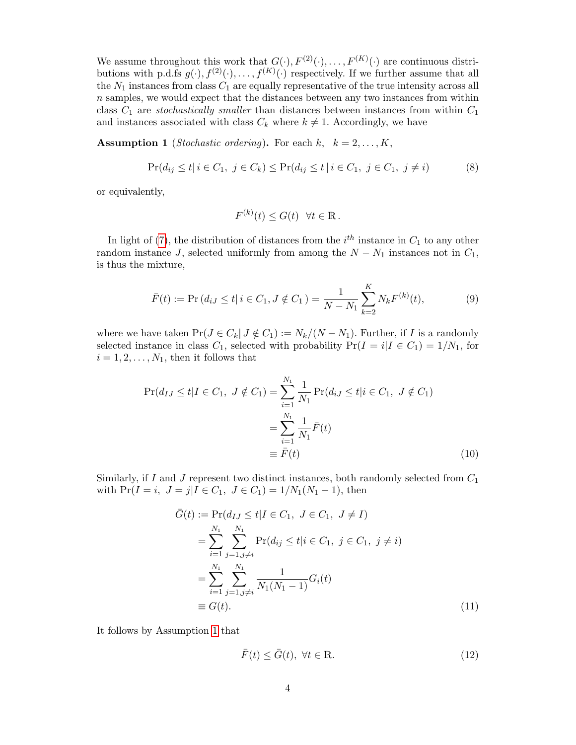We assume throughout this work that  $G(\cdot), F^{(2)}(\cdot), \ldots, F^{(K)}(\cdot)$  are continuous distributions with p.d.fs  $g(\cdot), f^{(2)}(\cdot), \ldots, f^{(K)}(\cdot)$  respectively. If we further assume that all the  $N_1$  instances from class  $C_1$  are equally representative of the true intensity across all  $n$  samples, we would expect that the distances between any two instances from within class  $C_1$  are *stochastically smaller* than distances between instances from within  $C_1$ and instances associated with class  $C_k$  where  $k \neq 1$ . Accordingly, we have

<span id="page-3-0"></span>**Assumption 1** (*Stochastic ordering*). For each  $k, k = 2, ..., K$ ,

$$
\Pr(d_{ij} \le t | i \in C_1, j \in C_k) \le \Pr(d_{ij} \le t | i \in C_1, j \in C_1, j \ne i)
$$
\n(8)

or equivalently,

$$
F^{(k)}(t) \le G(t) \quad \forall t \in \mathbb{R} \, .
$$

In light of [\(7\)](#page-2-1), the distribution of distances from the  $i^{th}$  instance in  $C_1$  to any other random instance J, selected uniformly from among the  $N - N_1$  instances not in  $C_1$ , is thus the mixture,

$$
\bar{F}(t) := \Pr\left(d_{iJ} \le t | i \in C_1, J \notin C_1\right) = \frac{1}{N - N_1} \sum_{k=2}^{K} N_k F^{(k)}(t),\tag{9}
$$

where we have taken  $Pr(J \in C_k | J \notin C_1) := N_k/(N - N_1)$ . Further, if I is a randomly selected instance in class  $C_1$ , selected with probability  $Pr(I = i | I \in C_1) = 1/N_1$ , for  $i = 1, 2, \ldots, N_1$ , then it follows that

$$
\Pr(d_{IJ} \le t | I \in C_1, \ J \notin C_1) = \sum_{i=1}^{N_1} \frac{1}{N_1} \Pr(d_{iJ} \le t | i \in C_1, \ J \notin C_1)
$$

$$
= \sum_{i=1}^{N_1} \frac{1}{N_1} \bar{F}(t)
$$

$$
\equiv \bar{F}(t) \tag{10}
$$

Similarly, if I and J represent two distinct instances, both randomly selected from  $C_1$ with  $Pr(I = i, J = j | I \in C_1, J \in C_1) = 1/N_1(N_1 - 1)$ , then

$$
\bar{G}(t) := \Pr(d_{IJ} \le t | I \in C_1, \ J \in C_1, \ J \ne I)
$$
  
= 
$$
\sum_{i=1}^{N_1} \sum_{j=1, j \ne i}^{N_1} \Pr(d_{ij} \le t | i \in C_1, \ j \in C_1, \ j \ne i)
$$
  
= 
$$
\sum_{i=1}^{N_1} \sum_{j=1, j \ne i}^{N_1} \frac{1}{N_1 (N_1 - 1)} G_i(t)
$$
  
\equiv 
$$
G(t).
$$
 (11)

It follows by Assumption [1](#page-3-0) that

<span id="page-3-1"></span>
$$
\bar{F}(t) \le \bar{G}(t), \ \forall t \in \mathbb{R}.\tag{12}
$$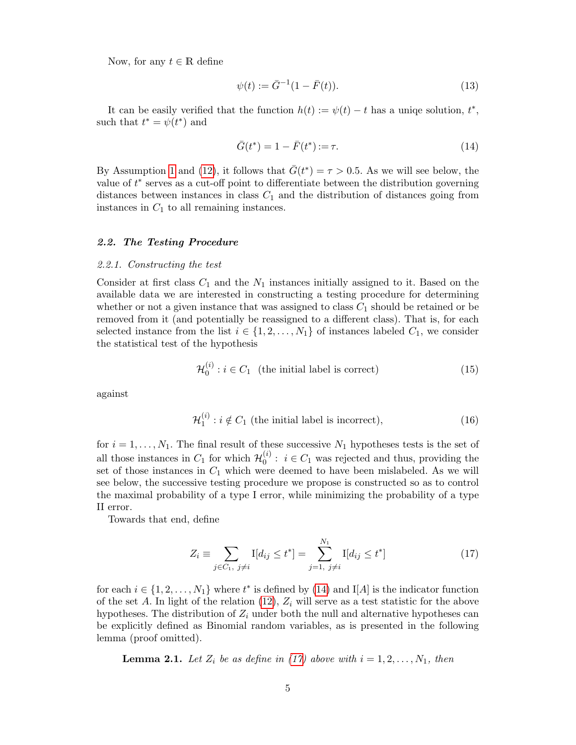Now, for any  $t \in \mathbb{R}$  define

<span id="page-4-5"></span>
$$
\psi(t) := \bar{G}^{-1}(1 - \bar{F}(t)).\tag{13}
$$

It can be easily verified that the function  $h(t) := \psi(t) - t$  has a uniqe solution,  $t^*$ , such that  $t^* = \psi(t^*)$  and

<span id="page-4-0"></span>
$$
\bar{G}(t^*) = 1 - \bar{F}(t^*) := \tau.
$$
\n(14)

By Assumption [1](#page-3-0) and [\(12\)](#page-3-1), it follows that  $\bar{G}(t^*) = \tau > 0.5$ . As we will see below, the value of  $t^*$  serves as a cut-off point to differentiate between the distribution governing distances between instances in class  $C_1$  and the distribution of distances going from instances in  $C_1$  to all remaining instances.

### 2.2. The Testing Procedure

#### 2.2.1. Constructing the test

Consider at first class  $C_1$  and the  $N_1$  instances initially assigned to it. Based on the available data we are interested in constructing a testing procedure for determining whether or not a given instance that was assigned to class  $C_1$  should be retained or be removed from it (and potentially be reassigned to a different class). That is, for each selected instance from the list  $i \in \{1, 2, ..., N_1\}$  of instances labeled  $C_1$ , we consider the statistical test of the hypothesis

<span id="page-4-2"></span>
$$
\mathcal{H}_0^{(i)} : i \in C_1 \quad \text{(the initial label is correct)} \tag{15}
$$

against

<span id="page-4-3"></span>
$$
\mathcal{H}_1^{(i)} : i \notin C_1 \text{ (the initial label is incorrect)},\tag{16}
$$

for  $i = 1, \ldots, N_1$ . The final result of these successive  $N_1$  hypotheses tests is the set of all those instances in  $C_1$  for which  $\mathcal{H}_0^{(i)}$  $\mathbf{0}^{(i)}$ :  $i \in C_1$  was rejected and thus, providing the set of those instances in  $C_1$  which were deemed to have been mislabeled. As we will see below, the successive testing procedure we propose is constructed so as to control the maximal probability of a type I error, while minimizing the probability of a type II error.

Towards that end, define

<span id="page-4-1"></span>
$$
Z_i \equiv \sum_{j \in C_1, \ j \neq i} I[d_{ij} \le t^*] = \sum_{j=1, \ j \neq i}^{N_1} I[d_{ij} \le t^*]
$$
 (17)

for each  $i \in \{1, 2, ..., N_1\}$  where  $t^*$  is defined by [\(14\)](#page-4-0) and I[A] is the indicator function of the set A. In light of the relation  $(12)$ ,  $Z_i$  will serve as a test statistic for the above hypotheses. The distribution of  $Z_i$  under both the null and alternative hypotheses can be explicitly defined as Binomial random variables, as is presented in the following lemma (proof omitted).

<span id="page-4-4"></span>**Lemma 2.1.** Let  $Z_i$  be as define in [\(17\)](#page-4-1) above with  $i = 1, 2, ..., N_1$ , then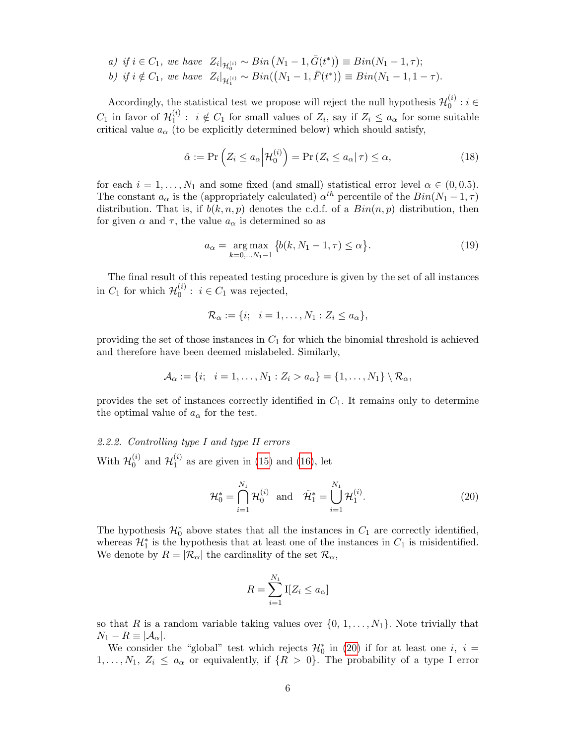- a) if  $i \in C_1$ , we have  $Z_i|_{\mathcal{H}_0^{(i)}} \sim Bin(N_1 1, \bar{G}(t^*)) \equiv Bin(N_1 1, \tau);$
- b) if  $i \notin C_1$ , we have  $Z_i|_{\mathcal{H}_1^{(i)}} \sim Bin((N_1-1,\bar{F}(t^*)) \equiv Bin(N_1-1,1-\tau).$

Accordingly, the statistical test we propose will reject the null hypothesis  $\mathcal{H}_0^{(i)}$  $i_{0}^{(i)}:i\in$  $C_1$  in favor of  $\mathcal{H}_1^{(i)}$  $i_1^{(i)}$ :  $i \notin C_1$  for small values of  $Z_i$ , say if  $Z_i \le a_\alpha$  for some suitable critical value  $a_{\alpha}$  (to be explicitly determined below) which should satisfy,

<span id="page-5-1"></span>
$$
\hat{\alpha} := \Pr\left(Z_i \le a_\alpha \middle| \mathcal{H}_0^{(i)}\right) = \Pr\left(Z_i \le a_\alpha \middle| \tau\right) \le \alpha,\tag{18}
$$

for each  $i = 1, ..., N_1$  and some fixed (and small) statistical error level  $\alpha \in (0, 0.5)$ . The constant  $a_{\alpha}$  is the (appropriately calculated)  $\alpha^{th}$  percentile of the  $Bin(N_1 - 1, \tau)$ distribution. That is, if  $b(k, n, p)$  denotes the c.d.f. of a  $Bin(n, p)$  distribution, then for given  $\alpha$  and  $\tau$ , the value  $a_{\alpha}$  is determined so as

<span id="page-5-2"></span>
$$
a_{\alpha} = \underset{k=0,\dots,N_1-1}{\arg \max} \{b(k, N_1 - 1, \tau) \le \alpha\}.
$$
 (19)

The final result of this repeated testing procedure is given by the set of all instances in  $C_1$  for which  $\mathcal{H}_0^{(i)}$  $0^{(i)}$ :  $i \in C_1$  was rejected,

$$
\mathcal{R}_{\alpha} := \{i; \quad i = 1, \ldots, N_1 : Z_i \leq a_{\alpha}\},
$$

providing the set of those instances in  $C_1$  for which the binomial threshold is achieved and therefore have been deemed mislabeled. Similarly,

$$
\mathcal{A}_{\alpha} := \{i; \quad i = 1, \ldots, N_1 : Z_i > a_{\alpha}\} = \{1, \ldots, N_1\} \setminus \mathcal{R}_{\alpha},
$$

provides the set of instances correctly identified in  $C_1$ . It remains only to determine the optimal value of  $a_{\alpha}$  for the test.

#### 2.2.2. Controlling type I and type II errors With  $\mathcal{H}_0^{(i)}$  $\overset{(i)}{0}$  and  $\mathcal{H}_1^{(i)}$  $_1^{(i)}$  as are given in [\(15\)](#page-4-2) and [\(16\)](#page-4-3), let

<span id="page-5-0"></span>
$$
\mathcal{H}_0^* = \bigcap_{i=1}^{N_1} \mathcal{H}_0^{(i)} \text{ and } \tilde{\mathcal{H}}_1^* = \bigcup_{i=1}^{N_1} \mathcal{H}_1^{(i)}.
$$
 (20)

The hypothesis  $\mathcal{H}_0^*$  above states that all the instances in  $C_1$  are correctly identified, whereas  $\mathcal{H}_1^*$  is the hypothesis that at least one of the instances in  $C_1$  is misidentified. We denote by  $R = |\mathcal{R}_{\alpha}|$  the cardinality of the set  $\mathcal{R}_{\alpha}$ ,

$$
R = \sum_{i=1}^{N_1} \mathbf{I}[Z_i \le a_\alpha]
$$

so that R is a random variable taking values over  $\{0, 1, \ldots, N_1\}$ . Note trivially that  $N_1 - R \equiv |\mathcal{A}_{\alpha}|.$ 

We consider the "global" test which rejects  $\mathcal{H}_0^*$  in [\(20\)](#page-5-0) if for at least one *i*, *i* =  $1, \ldots, N_1, Z_i \leq a_{\alpha}$  or equivalently, if  $\{R > 0\}$ . The probability of a type I error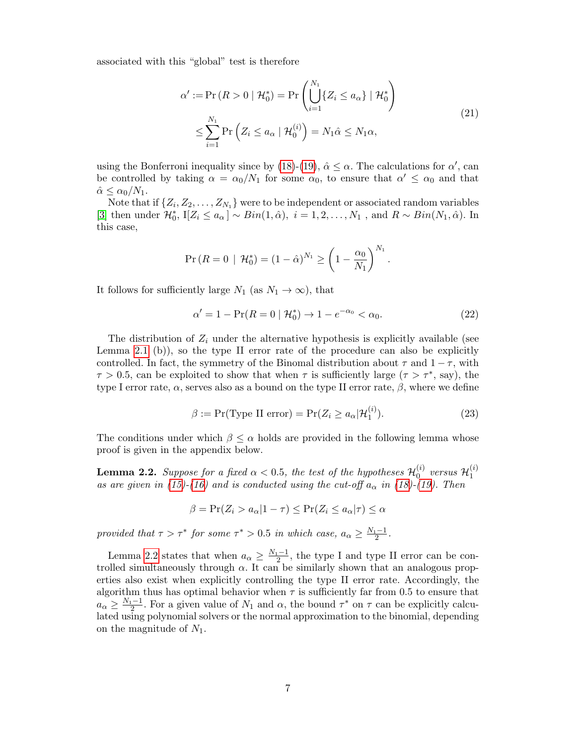associated with this "global" test is therefore

$$
\alpha' := \Pr(R > 0 \mid \mathcal{H}_0^*) = \Pr\left(\bigcup_{i=1}^{N_1} \{Z_i \le a_\alpha\} \mid \mathcal{H}_0^*\right)
$$
  

$$
\le \sum_{i=1}^{N_1} \Pr\left(Z_i \le a_\alpha \mid \mathcal{H}_0^{(i)}\right) = N_1 \hat{\alpha} \le N_1 \alpha,
$$
 (21)

using the Bonferroni inequality since by [\(18\)](#page-5-1)-[\(19\)](#page-5-2),  $\hat{\alpha} \leq \alpha$ . The calculations for  $\alpha'$ , can be controlled by taking  $\alpha = \alpha_0/N_1$  for some  $\alpha_0$ , to ensure that  $\alpha' \leq \alpha_0$  and that  $\hat{\alpha} \leq \alpha_0/N_1$ .

Note that if  $\{Z_i, Z_2, \ldots, Z_{N_1}\}$  were to be independent or associated random variables [\[3\]](#page-18-4) then under  $\mathcal{H}_0^*$ , I[ $Z_i \le a_\alpha$ ] ~  $Bin(1, \hat{\alpha})$ ,  $i = 1, 2, ..., N_1$ , and  $R \sim Bin(N_1, \hat{\alpha})$ . In this case,

$$
\Pr(R = 0 \mid \mathcal{H}_0^*) = (1 - \hat{\alpha})^{N_1} \ge \left(1 - \frac{\alpha_0}{N_1}\right)^{N_1}.
$$

It follows for sufficiently large  $N_1$  (as  $N_1 \rightarrow \infty$ ), that

<span id="page-6-1"></span>
$$
\alpha' = 1 - \Pr(R = 0 \mid \mathcal{H}_0^*) \to 1 - e^{-\alpha_0} < \alpha_0. \tag{22}
$$

The distribution of  $Z_i$  under the alternative hypothesis is explicitly available (see Lemma [2.1](#page-4-4) (b)), so the type II error rate of the procedure can also be explicitly controlled. In fact, the symmetry of the Binomal distribution about  $\tau$  and  $1 - \tau$ , with  $\tau > 0.5$ , can be exploited to show that when  $\tau$  is sufficiently large  $(\tau > \tau^*$ , say), the type I error rate,  $\alpha$ , serves also as a bound on the type II error rate,  $\beta$ , where we define

$$
\beta := \Pr(\text{Type II error}) = \Pr(Z_i \ge a_\alpha | \mathcal{H}_1^{(i)}). \tag{23}
$$

The conditions under which  $\beta \leq \alpha$  holds are provided in the following lemma whose proof is given in the appendix below.

<span id="page-6-0"></span>**Lemma 2.2.** Suppose for a fixed  $\alpha < 0.5$ , the test of the hypotheses  $\mathcal{H}_0^{(i)}$  $\overset{(i)}{0}$  versus  $\mathcal{H}^{(i)}_1$ 1 as are given in [\(15\)](#page-4-2)-[\(16\)](#page-4-3) and is conducted using the cut-off  $a_{\alpha}$  in [\(18\)](#page-5-1)-[\(19\)](#page-5-2). Then

$$
\beta = \Pr(Z_i > a_\alpha | 1 - \tau) \le \Pr(Z_i \le a_\alpha | \tau) \le \alpha
$$

provided that  $\tau > \tau^*$  for some  $\tau^* > 0.5$  in which case,  $a_\alpha \geq \frac{N_1 - 1}{2}$ .

Lemma [2.2](#page-6-0) states that when  $a_{\alpha} \geq \frac{N_1-1}{2}$ , the type I and type II error can be controlled simultaneously through  $\alpha$ . It can be similarly shown that an analogous properties also exist when explicitly controlling the type II error rate. Accordingly, the algorithm thus has optimal behavior when  $\tau$  is sufficiently far from 0.5 to ensure that  $a_{\alpha} \geq \frac{N_1-1}{2}$ . For a given value of  $N_1$  and  $\alpha$ , the bound  $\tau^*$  on  $\tau$  can be explicitly calculated using polynomial solvers or the normal approximation to the binomial, depending on the magnitude of  $N_1$ .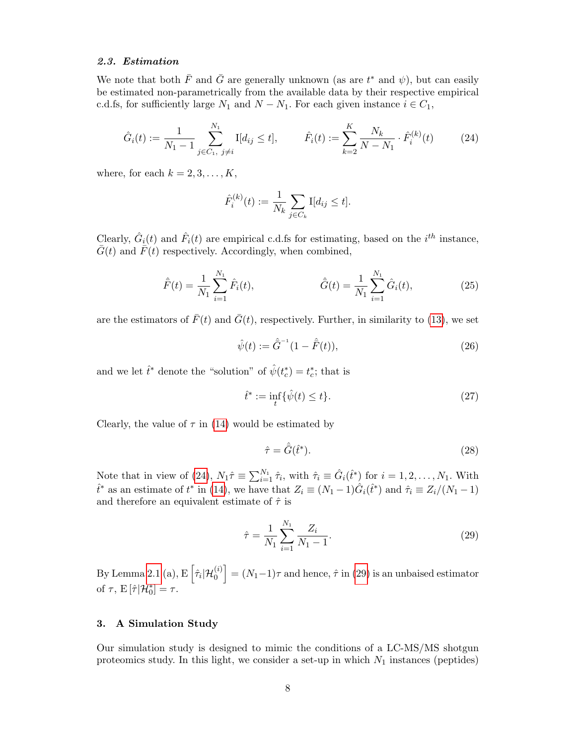### 2.3. Estimation

We note that both  $\bar{F}$  and  $\bar{G}$  are generally unknown (as are  $t^*$  and  $\psi$ ), but can easily be estimated non-parametrically from the available data by their respective empirical c.d.fs, for sufficiently large  $N_1$  and  $N - N_1$ . For each given instance  $i \in C_1$ ,

$$
\hat{G}_i(t) := \frac{1}{N_1 - 1} \sum_{j \in C_1, j \neq i}^{N_1} I[d_{ij} \le t], \qquad \hat{F}_i(t) := \sum_{k=2}^K \frac{N_k}{N - N_1} \cdot \hat{F}_i^{(k)}(t) \tag{24}
$$

where, for each  $k = 2, 3, \ldots, K$ ,

<span id="page-7-1"></span>
$$
\hat{F}_i^{(k)}(t) := \frac{1}{N_k} \sum_{j \in C_k} I[d_{ij} \le t].
$$

Clearly,  $\hat{G}_i(t)$  and  $\hat{F}_i(t)$  are empirical c.d.fs for estimating, based on the  $i^{th}$  instance,  $\bar{G}(t)$  and  $\bar{F}(t)$  respectively. Accordingly, when combined,

$$
\hat{F}(t) = \frac{1}{N_1} \sum_{i=1}^{N_1} \hat{F}_i(t), \qquad \hat{G}(t) = \frac{1}{N_1} \sum_{i=1}^{N_1} \hat{G}_i(t), \qquad (25)
$$

are the estimators of  $\bar{F}(t)$  and  $\bar{G}(t)$ , respectively. Further, in similarity to [\(13\)](#page-4-5), we set

$$
\hat{\psi}(t) := \hat{\bar{G}}^{-1} (1 - \hat{\bar{F}}(t)),\tag{26}
$$

and we let  $\hat{t}^*$  denote the "solution" of  $\hat{\psi}(t_c^*) = t_c^*$ ; that is

$$
\hat{t}^* := \inf_t \{ \hat{\psi}(t) \le t \}. \tag{27}
$$

Clearly, the value of  $\tau$  in [\(14\)](#page-4-0) would be estimated by

$$
\hat{\tau} = \hat{\bar{G}}(\hat{t}^*). \tag{28}
$$

Note that in view of [\(24\)](#page-7-1),  $N_1\hat{\tau} \equiv \sum_{i=1}^{N_1} \hat{\tau}_i$ , with  $\hat{\tau}_i \equiv \hat{G}_i(\hat{t}^*)$  for  $i = 1, 2, ..., N_1$ . With  $\hat{t}^*$  as an estimate of  $t^*$  in [\(14\)](#page-4-0), we have that  $Z_i \equiv (N_1 - 1)\hat{G}_i(\hat{t}^*)$  and  $\hat{\tau}_i \equiv Z_i/(N_1 - 1)$ and therefore an equivalent estimate of  $\hat{\tau}$  is

<span id="page-7-2"></span>
$$
\hat{\tau} = \frac{1}{N_1} \sum_{i=1}^{N_1} \frac{Z_i}{N_1 - 1}.
$$
\n(29)

By Lemma [2.1](#page-4-4) (a),  $E\left[\hat{\tau}_i|\mathcal{H}_0^{(i)}\right] = (N_1-1)\tau$  and hence,  $\hat{\tau}$  in [\(29\)](#page-7-2) is an unbaised estimator of  $\tau$ ,  $E[\hat{\tau}|\mathcal{H}_0^*]=\tau$ .

## <span id="page-7-0"></span>3. A Simulation Study

Our simulation study is designed to mimic the conditions of a LC-MS/MS shotgun proteomics study. In this light, we consider a set-up in which  $N_1$  instances (peptides)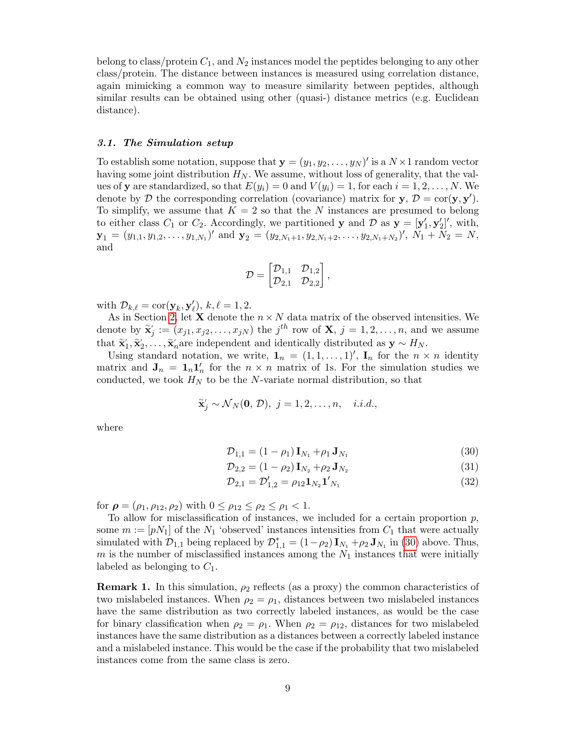belong to class/protein  $C_1$ , and  $N_2$  instances model the peptides belonging to any other class/protein. The distance between instances is measured using correlation distance, again mimicking a common way to measure similarity between peptides, although similar results can be obtained using other (quasi-) distance metrics (e.g. Euclidean distance).

#### 3.1. The Simulation setup

To establish some notation, suppose that  $\mathbf{y} = (y_1, y_2, \dots, y_N)'$  is a  $N \times 1$  random vector having some joint distribution  $H_N$ . We assume, without loss of generality, that the values of **y** are standardized, so that  $E(y_i) = 0$  and  $V(y_i) = 1$ , for each  $i = 1, 2, ..., N$ . We denote by  $D$  the corresponding correlation (covariance) matrix for  $y, D = \text{cor}(y, y')$ . To simplify, we assume that  $K = 2$  so that the N instances are presumed to belong to either class  $C_1$  or  $C_2$ . Accordingly, we partitioned y and D as  $y = [y'_1, y'_2]'$ , with,  $\mathbf{y}_1 = (y_{1,1}, y_{1,2}, \dots, y_{1,N_1})'$  and  $\mathbf{y}_2 = (y_{2,N_1+1}, y_{2,N_1+2}, \dots, y_{2,N_1+N_2})'$ ,  $N_1 + N_2 = N$ , and

$$
\mathcal{D} = \begin{bmatrix} \mathcal{D}_{1,1} & \mathcal{D}_{1,2} \\ \mathcal{D}_{2,1} & \mathcal{D}_{2,2} \end{bmatrix},
$$

with  $\mathcal{D}_{k,\ell} = \text{cor}(\mathbf{y}_k, \mathbf{y}'_{\ell}), k, \ell = 1, 2.$ 

As in Section [2,](#page-1-0) let **X** denote the  $n \times N$  data matrix of the observed intensities. We denote by  $\tilde{\mathbf{x}}'_j := (x_{j1}, x_{j2}, \dots, x_{jN})$  the  $j^{th}$  row of  $\mathbf{X}, j = 1, 2, \dots, n$ , and we assume that  $\tilde{\mathbf{x}}'_1, \tilde{\mathbf{x}}'_2, \ldots, \tilde{\mathbf{x}}'_n$  are independent and identically distributed as  $\mathbf{y} \sim H_N$ .

Using standard notation, we write,  $\mathbf{1}_n = (1, 1, \ldots, 1)$ ,  $\mathbf{I}_n$  for the  $n \times n$  identity matrix and  $J_n = 1_n I'_n$  for the  $n \times n$  matrix of 1s. For the simulation studies we conducted, we took  $H_N$  to be the N-variate normal distribution, so that

$$
\tilde{\mathbf{x}}'_j \sim \mathcal{N}_N(\mathbf{0}, \, \mathcal{D}), \, j = 1, 2, \dots, n, \quad i.i.d.,
$$

where

<span id="page-8-0"></span>
$$
\mathcal{D}_{1,1} = (1 - \rho_1) \mathbf{I}_{N_1} + \rho_1 \mathbf{J}_{N_1}
$$
\n(30)

$$
\mathcal{D}_{2,2} = (1 - \rho_2) \mathbf{I}_{N_2} + \rho_2 \mathbf{J}_{N_2} \tag{31}
$$

$$
\mathcal{D}_{2,1} = \mathcal{D}'_{1,2} = \rho_{12} \mathbf{1}_{N_2} \mathbf{1}'_{N_1} \tag{32}
$$

for  $\rho = (\rho_1, \rho_{12}, \rho_2)$  with  $0 \le \rho_{12} \le \rho_2 \le \rho_1 < 1$ .

To allow for misclassification of instances, we included for a certain proportion  $p$ , some  $m := [pN_1]$  of the  $N_1$  'observed' instances intensities from  $C_1$  that were actually simulated with  $\mathcal{D}_{1,1}$  being replaced by  $\mathcal{D}_{1,1}^* = (1-\rho_2) \mathbf{I}_{N_1} + \rho_2 \mathbf{J}_{N_1}$  in [\(30\)](#page-8-0) above. Thus,  $m$  is the number of misclassified instances among the  $N_1$  instances that were initially labeled as belonging to  $C_1$ .

**Remark 1.** In this simulation,  $\rho_2$  reflects (as a proxy) the common characteristics of two mislabeled instances. When  $\rho_2 = \rho_1$ , distances between two mislabeled instances have the same distribution as two correctly labeled instances, as would be the case for binary classification when  $\rho_2 = \rho_1$ . When  $\rho_2 = \rho_{12}$ , distances for two mislabeled instances have the same distribution as a distances between a correctly labeled instance and a mislabeled instance. This would be the case if the probability that two mislabeled instances come from the same class is zero.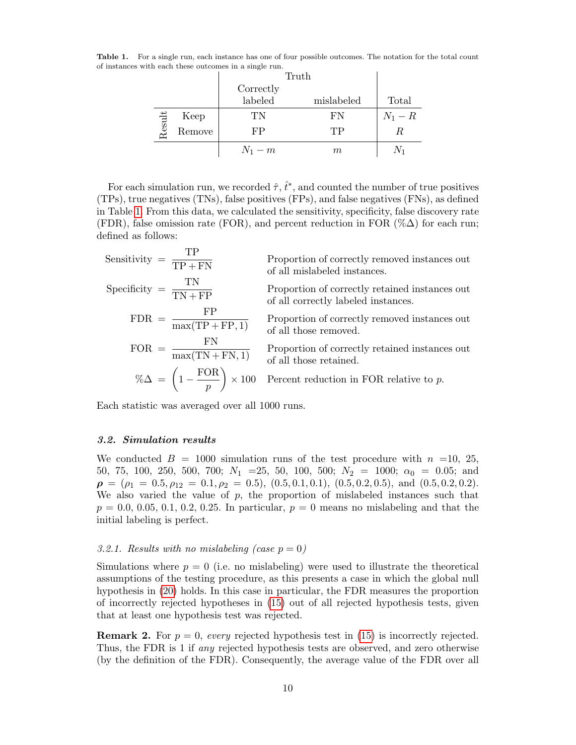Table 1. For a single run, each instance has one of four possible outcomes. The notation for the total count of instances with each these outcomes in a single run.

<span id="page-9-0"></span>

|        |        | Truth     |            |                |
|--------|--------|-----------|------------|----------------|
|        |        | Correctly |            |                |
|        |        | labeled   | mislabeled | Total          |
|        | Keep   | TN        | FN         | $N_1-R$        |
| Result | Remove | FP        | TР         | R              |
|        |        | $N_1-m$   | $m\,$      | N <sub>1</sub> |

For each simulation run, we recorded  $\hat{\tau}$ ,  $\hat{t}^*$ , and counted the number of true positives (TPs), true negatives (TNs), false positives (FPs), and false negatives (FNs), as defined in Table [1.](#page-9-0) From this data, we calculated the sensitivity, specificity, false discovery rate (FDR), false omission rate (FOR), and percent reduction in FOR  $(\% \Delta)$  for each run; defined as follows:

Sensitivity = 
$$
\frac{TP}{TP + FN}
$$

\nProbability =  $\frac{TN}{TN + FP}$ 

\nProportion of correctly removed instances out of all mislabeled instances.

\nProportion of correctly retained instances out of all correctly labeled instances.

\nFDR =  $\frac{FP}{\max(TP + FP, 1)}$ 

\nProportion of correctly removed instances out of all those removed.

\nFOR =  $\frac{FN}{\max(TN + FN, 1)}$ 

\nProportion of correctly retained instances out of all those removed.

\n $\% \Delta = \left(1 - \frac{FOR}{p}\right) \times 100$ 

\nPercent reduction in FOR relative to *p*.

Each statistic was averaged over all 1000 runs.

#### 3.2. Simulation results

We conducted  $B = 1000$  simulation runs of the test procedure with  $n = 10$ , 25. 50, 75, 100, 250, 500, 700;  $N_1$  = 25, 50, 100, 500;  $N_2$  = 1000;  $\alpha_0$  = 0.05; and  $\rho = (\rho_1 = 0.5, \rho_{12} = 0.1, \rho_2 = 0.5), (0.5, 0.1, 0.1), (0.5, 0.2, 0.5), \text{ and } (0.5, 0.2, 0.2).$ We also varied the value of  $p$ , the proportion of mislabeled instances such that  $p = 0.0, 0.05, 0.1, 0.2, 0.25$ . In particular,  $p = 0$  means no mislabeling and that the initial labeling is perfect.

## 3.2.1. Results with no mislabeling (case  $p = 0$ )

Simulations where  $p = 0$  (i.e. no mislabeling) were used to illustrate the theoretical assumptions of the testing procedure, as this presents a case in which the global null hypothesis in [\(20\)](#page-5-0) holds. In this case in particular, the FDR measures the proportion of incorrectly rejected hypotheses in [\(15\)](#page-4-2) out of all rejected hypothesis tests, given that at least one hypothesis test was rejected.

<span id="page-9-1"></span>**Remark 2.** For  $p = 0$ , every rejected hypothesis test in [\(15\)](#page-4-2) is incorrectly rejected. Thus, the FDR is 1 if any rejected hypothesis tests are observed, and zero otherwise (by the definition of the FDR). Consequently, the average value of the FDR over all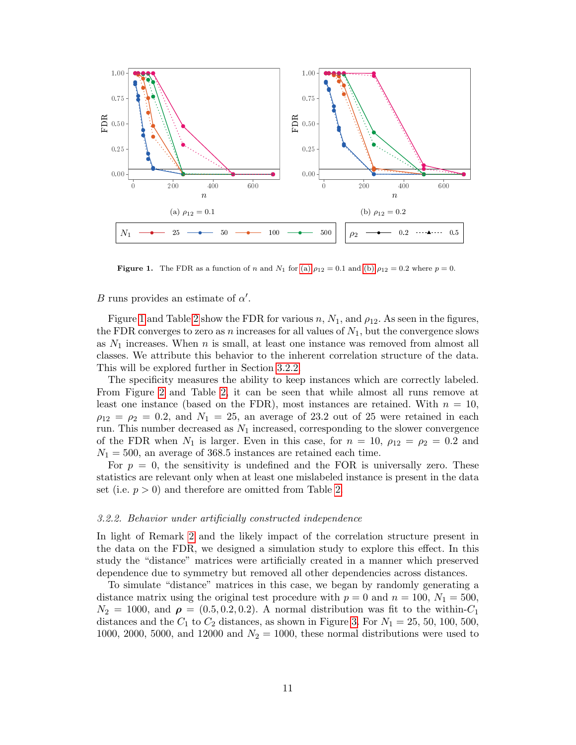<span id="page-10-0"></span>

<span id="page-10-2"></span><span id="page-10-1"></span>Figure 1. The FDR as a function of n and  $N_1$  for [\(a\)](#page-10-0)  $\rho_{12} = 0.1$  and [\(b\)](#page-10-1)  $\rho_{12} = 0.2$  where  $p = 0$ .

# B runs provides an estimate of  $\alpha'$ .

Figure [1](#page-10-2) and Table [2](#page-11-0) show the FDR for various n,  $N_1$ , and  $\rho_{12}$ . As seen in the figures, the FDR converges to zero as n increases for all values of  $N_1$ , but the convergence slows as  $N_1$  increases. When n is small, at least one instance was removed from almost all classes. We attribute this behavior to the inherent correlation structure of the data. This will be explored further in Section [3.2.2.](#page-10-3)

The specificity measures the ability to keep instances which are correctly labeled. From Figure [2](#page-11-1) and Table [2,](#page-11-0) it can be seen that while almost all runs remove at least one instance (based on the FDR), most instances are retained. With  $n = 10$ ,  $\rho_{12} = \rho_2 = 0.2$ , and  $N_1 = 25$ , an average of 23.2 out of 25 were retained in each run. This number decreased as  $N_1$  increased, corresponding to the slower convergence of the FDR when  $N_1$  is larger. Even in this case, for  $n = 10$ ,  $\rho_{12} = \rho_2 = 0.2$  and  $N_1 = 500$ , an average of 368.5 instances are retained each time.

For  $p = 0$ , the sensitivity is undefined and the FOR is universally zero. These statistics are relevant only when at least one mislabeled instance is present in the data set (i.e.  $p > 0$ ) and therefore are omitted from Table [2.](#page-11-0)

#### <span id="page-10-3"></span>3.2.2. Behavior under artificially constructed independence

In light of Remark [2](#page-9-1) and the likely impact of the correlation structure present in the data on the FDR, we designed a simulation study to explore this effect. In this study the "distance" matrices were artificially created in a manner which preserved dependence due to symmetry but removed all other dependencies across distances.

To simulate "distance" matrices in this case, we began by randomly generating a distance matrix using the original test procedure with  $p = 0$  and  $n = 100$ ,  $N_1 = 500$ ,  $N_2 = 1000$ , and  $\rho = (0.5, 0.2, 0.2)$ . A normal distribution was fit to the within- $C_1$ distances and the  $C_1$  to  $C_2$  distances, as shown in Figure [3.](#page-11-2) For  $N_1 = 25, 50, 100, 500$ . 1000, 2000, 5000, and 12000 and  $N_2 = 1000$ , these normal distributions were used to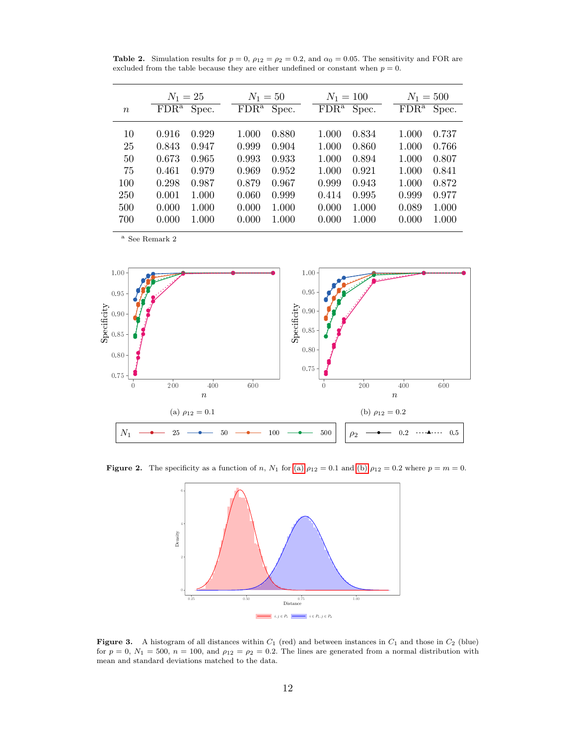<span id="page-11-0"></span>**Table 2.** Simulation results for  $p = 0$ ,  $\rho_{12} = \rho_2 = 0.2$ , and  $\alpha_0 = 0.05$ . The sensitivity and FOR are excluded from the table because they are either undefined or constant when  $p = 0$ .

|                  | $N_1 = 25$       | $N_1 = 50$       | $N_1 = 100$                        | $N_1 = 500$      |  |
|------------------|------------------|------------------|------------------------------------|------------------|--|
| $\boldsymbol{n}$ | FDR <sup>a</sup> | FDR <sup>a</sup> | $\overline{\text{FDR}^{\text{a}}}$ | FDR <sup>a</sup> |  |
|                  | Spec.            | Spec.            | Spec.                              | Spec.            |  |
| 10               | 0.916            | 0.880            | 1.000                              | 0.737            |  |
|                  | 0.929            | 1.000            | 0.834                              | 1.000            |  |
| 25               | 0.843            | 0.999            | 1.000                              | 0.766            |  |
|                  | 0.947            | 0.904            | 0.860                              | 1.000            |  |
| 50               | 0.673            | 0.933            | 1.000                              | 0.807            |  |
|                  | 0.965            | 0.993            | 0.894                              | 1.000            |  |
| 75               | 0.461            | 0.952            | 1.000                              | 1.000            |  |
|                  | 0.979            | 0.969            | 0.921                              | 0.841            |  |
| 100              | 0.298            | 0.967            | 0.999                              | 1.000            |  |
|                  | 0.987            | 0.879            | 0.943                              | 0.872            |  |
| 250              | 0.001            | 0.999            | 0.995                              | 0.977            |  |
|                  | 1.000            | 0.060            | 0.414                              | 0.999            |  |
| 500              | 0.000            | 1.000            | 1.000                              | 0.089            |  |
|                  | 1.000            | 0.000            | 0.000                              | 1.000            |  |
| 700              | 0.000            | 1.000            | 0.000                              | 0.000            |  |
|                  | 1.000            | 0.000            | 1.000                              | 1.000            |  |

<sup>a</sup> See Remark 2

<span id="page-11-3"></span>

Figure 2. The specificity as a function of n,  $N_1$  for [\(a\)](#page-11-3)  $\rho_{12} = 0.1$  and [\(b\)](#page-11-4)  $\rho_{12} = 0.2$  where  $p = m = 0$ .

<span id="page-11-4"></span><span id="page-11-1"></span>

<span id="page-11-2"></span>**Figure 3.** A histogram of all distances within  $C_1$  (red) and between instances in  $C_1$  and those in  $C_2$  (blue) for  $p = 0$ ,  $N_1 = 500$ ,  $n = 100$ , and  $\rho_{12} = \rho_2 = 0.2$ . The lines are generated from a normal distribution with mean and standard deviations matched to the data.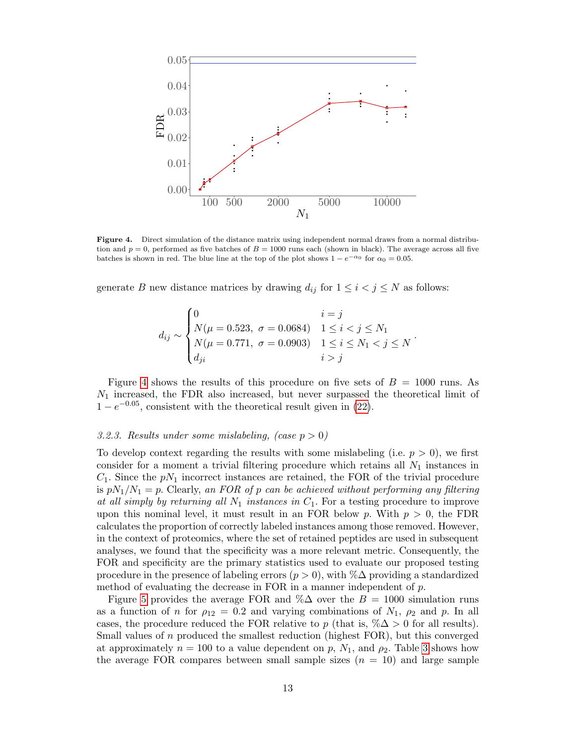

<span id="page-12-0"></span>Figure 4. Direct simulation of the distance matrix using independent normal draws from a normal distribution and  $p = 0$ , performed as five batches of  $B = 1000$  runs each (shown in black). The average across all five batches is shown in red. The blue line at the top of the plot shows  $1 - e^{-\alpha_0}$  for  $\alpha_0 = 0.05$ .

generate B new distance matrices by drawing  $d_{ij}$  for  $1 \leq i < j \leq N$  as follows:

$$
d_{ij} \sim \begin{cases} 0 & i = j \\ N(\mu = 0.523, \ \sigma = 0.0684) & 1 \le i < j \le N_1 \\ N(\mu = 0.771, \ \sigma = 0.0903) & 1 \le i \le N_1 < j \le N \\ d_{ji} & i > j \end{cases}.
$$

Figure [4](#page-12-0) shows the results of this procedure on five sets of  $B = 1000$  runs. As  $N_1$  increased, the FDR also increased, but never surpassed the theoretical limit of  $1 - e^{-0.05}$ , consistent with the theoretical result given in [\(22\)](#page-6-1).

## 3.2.3. Results under some mislabeling, (case  $p > 0$ )

To develop context regarding the results with some mislabeling (i.e.  $p > 0$ ), we first consider for a moment a trivial filtering procedure which retains all  $N_1$  instances in  $C_1$ . Since the  $pN_1$  incorrect instances are retained, the FOR of the trivial procedure is  $pN_1/N_1 = p$ . Clearly, an FOR of p can be achieved without performing any filtering at all simply by returning all  $N_1$  instances in  $C_1$ . For a testing procedure to improve upon this nominal level, it must result in an FOR below p. With  $p > 0$ , the FDR calculates the proportion of correctly labeled instances among those removed. However, in the context of proteomics, where the set of retained peptides are used in subsequent analyses, we found that the specificity was a more relevant metric. Consequently, the FOR and specificity are the primary statistics used to evaluate our proposed testing procedure in the presence of labeling errors ( $p > 0$ ), with %∆ providing a standardized method of evaluating the decrease in FOR in a manner independent of  $p$ .

Figure [5](#page-13-0) provides the average FOR and % $\Delta$  over the  $B = 1000$  simulation runs as a function of n for  $\rho_{12} = 0.2$  and varying combinations of  $N_1$ ,  $\rho_2$  and p. In all cases, the procedure reduced the FOR relative to p (that is,  $\% \Delta > 0$  for all results). Small values of n produced the smallest reduction (highest FOR), but this converged at approximately  $n = 100$  to a value dependent on p,  $N_1$ , and  $\rho_2$ . Table [3](#page-14-0) shows how the average FOR compares between small sample sizes  $(n = 10)$  and large sample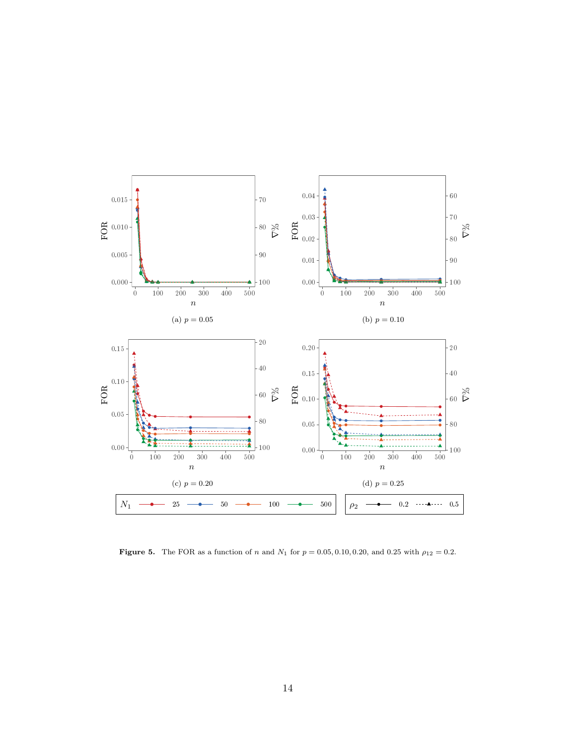

<span id="page-13-0"></span>Figure 5. The FOR as a function of n and  $N_1$  for  $p = 0.05, 0.10, 0.20$ , and 0.25 with  $\rho_{12} = 0.2$ .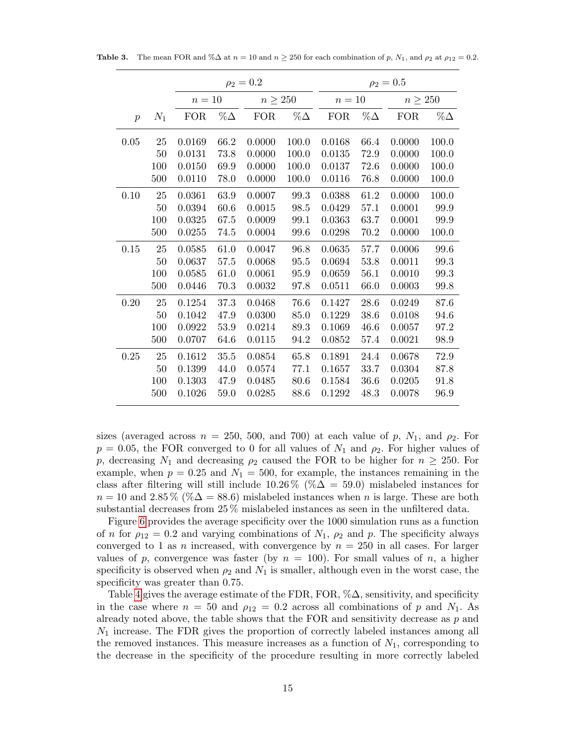<span id="page-14-0"></span>

|                |        | $\rho_2 = 0.2$ |            |              |            | $\rho_2 = 0.5$ |            |              |            |  |
|----------------|--------|----------------|------------|--------------|------------|----------------|------------|--------------|------------|--|
|                |        | $n=10$         |            | $n \geq 250$ |            | $n=10$         |            | $n \geq 250$ |            |  |
| $\overline{p}$ | $N_1$  | <b>FOR</b>     | $\%\Delta$ | <b>FOR</b>   | $\%\Delta$ | <b>FOR</b>     | $\%\Delta$ | <b>FOR</b>   | $\%\Delta$ |  |
| 0.05           | 25     | 0.0169         | 66.2       | 0.0000       | 100.0      | 0.0168         | 66.4       | 0.0000       | 100.0      |  |
|                | 50     | 0.0131         | 73.8       | 0.0000       | 100.0      | 0.0135         | 72.9       | 0.0000       | 100.0      |  |
|                | 100    | 0.0150         | 69.9       | 0.0000       | 100.0      | 0.0137         | 72.6       | 0.0000       | 100.0      |  |
|                | 500    | 0.0110         | 78.0       | 0.0000       | 100.0      | 0.0116         | 76.8       | 0.0000       | 100.0      |  |
| 0.10           | 25     | 0.0361         | 63.9       | 0.0007       | 99.3       | 0.0388         | 61.2       | 0.0000       | 100.0      |  |
|                | 50     | 0.0394         | 60.6       | 0.0015       | 98.5       | 0.0429         | 57.1       | 0.0001       | 99.9       |  |
|                | 100    | 0.0325         | 67.5       | 0.0009       | 99.1       | 0.0363         | 63.7       | 0.0001       | 99.9       |  |
|                | 500    | 0.0255         | 74.5       | 0.0004       | 99.6       | 0.0298         | 70.2       | 0.0000       | 100.0      |  |
| 0.15           | 25     | 0.0585         | 61.0       | 0.0047       | 96.8       | 0.0635         | 57.7       | 0.0006       | 99.6       |  |
|                | 50     | 0.0637         | 57.5       | 0.0068       | 95.5       | 0.0694         | 53.8       | 0.0011       | 99.3       |  |
|                | 100    | 0.0585         | 61.0       | 0.0061       | 95.9       | 0.0659         | 56.1       | 0.0010       | 99.3       |  |
|                | 500    | 0.0446         | 70.3       | 0.0032       | 97.8       | 0.0511         | 66.0       | 0.0003       | 99.8       |  |
| 0.20           | $25\,$ | 0.1254         | 37.3       | 0.0468       | 76.6       | 0.1427         | 28.6       | 0.0249       | 87.6       |  |
|                | 50     | 0.1042         | 47.9       | 0.0300       | 85.0       | 0.1229         | 38.6       | 0.0108       | 94.6       |  |
|                | 100    | 0.0922         | 53.9       | 0.0214       | 89.3       | 0.1069         | 46.6       | 0.0057       | 97.2       |  |
|                | 500    | 0.0707         | 64.6       | 0.0115       | 94.2       | 0.0852         | 57.4       | 0.0021       | 98.9       |  |
| 0.25           | 25     | 0.1612         | 35.5       | 0.0854       | 65.8       | 0.1891         | 24.4       | 0.0678       | 72.9       |  |
|                | 50     | 0.1399         | 44.0       | 0.0574       | 77.1       | 0.1657         | 33.7       | 0.0304       | 87.8       |  |
|                | 100    | 0.1303         | 47.9       | 0.0485       | 80.6       | 0.1584         | 36.6       | 0.0205       | 91.8       |  |
|                | 500    | 0.1026         | 59.0       | 0.0285       | 88.6       | 0.1292         | 48.3       | 0.0078       | 96.9       |  |

**Table 3.** The mean FOR and % $\Delta$  at  $n = 10$  and  $n \ge 250$  for each combination of p,  $N_1$ , and  $\rho_2$  at  $\rho_{12} = 0.2$ .

sizes (averaged across  $n = 250, 500,$  and 700) at each value of p,  $N_1$ , and  $\rho_2$ . For  $p = 0.05$ , the FOR converged to 0 for all values of  $N_1$  and  $\rho_2$ . For higher values of p, decreasing  $N_1$  and decreasing  $\rho_2$  caused the FOR to be higher for  $n \geq 250$ . For example, when  $p = 0.25$  and  $N_1 = 500$ , for example, the instances remaining in the class after filtering will still include  $10.26\%$  (% $\Delta = 59.0$ ) mislabeled instances for  $n = 10$  and 2.85 % (% $\Delta = 88.6$ ) mislabeled instances when n is large. These are both substantial decreases from 25 % mislabeled instances as seen in the unfiltered data.

Figure [6](#page-15-0) provides the average specificity over the 1000 simulation runs as a function of n for  $\rho_{12} = 0.2$  and varying combinations of  $N_1$ ,  $\rho_2$  and p. The specificity always converged to 1 as *n* increased, with convergence by  $n = 250$  in all cases. For larger values of p, convergence was faster (by  $n = 100$ ). For small values of n, a higher specificity is observed when  $\rho_2$  and  $N_1$  is smaller, although even in the worst case, the specificity was greater than 0.75.

Table [4](#page-16-1) gives the average estimate of the FDR, FOR,  $\%\Delta$ , sensitivity, and specificity in the case where  $n = 50$  and  $\rho_{12} = 0.2$  across all combinations of p and  $N_1$ . As already noted above, the table shows that the FOR and sensitivity decrease as  $p$  and  $N_1$  increase. The FDR gives the proportion of correctly labeled instances among all the removed instances. This measure increases as a function of  $N_1$ , corresponding to the decrease in the specificity of the procedure resulting in more correctly labeled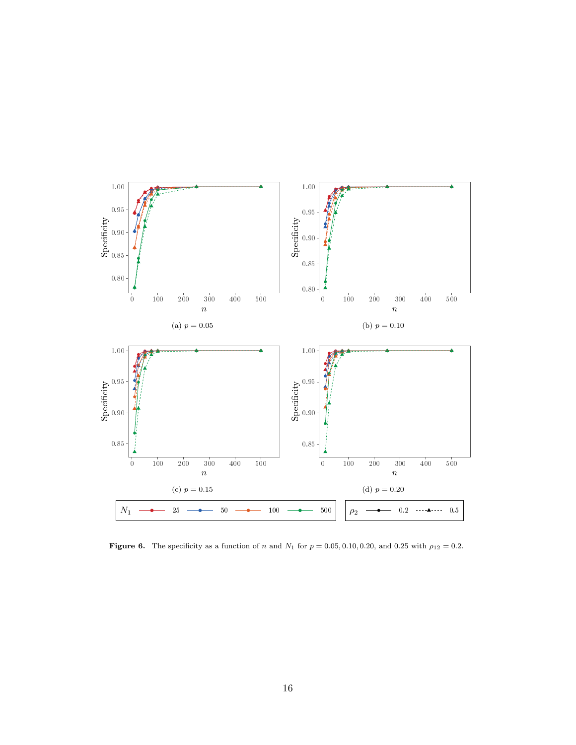

<span id="page-15-0"></span>Figure 6. The specificity as a function of n and  $N_1$  for  $p = 0.05, 0.10, 0.20$ , and 0.25 with  $\rho_{12} = 0.2$ .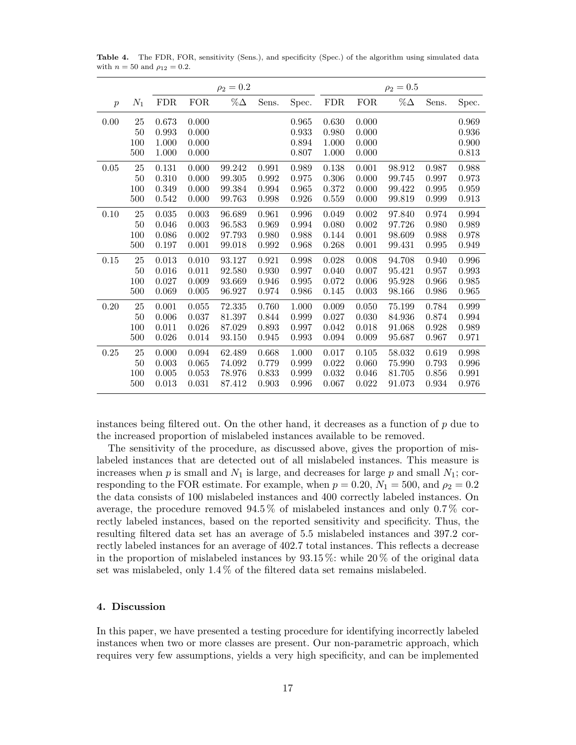|                  |        | $\rho_2 = 0.2$ |            |            |       |       | $\rho_2 = 0.5$ |            |            |       |       |
|------------------|--------|----------------|------------|------------|-------|-------|----------------|------------|------------|-------|-------|
| $\boldsymbol{p}$ | $N_1$  | ${\rm FDR}$    | <b>FOR</b> | $\%\Delta$ | Sens. | Spec. | <b>FDR</b>     | <b>FOR</b> | $\%\Delta$ | Sens. | Spec. |
| 0.00             | 25     | 0.673          | 0.000      |            |       | 0.965 | 0.630          | 0.000      |            |       | 0.969 |
|                  | 50     | 0.993          | 0.000      |            |       | 0.933 | 0.980          | 0.000      |            |       | 0.936 |
|                  | 100    | 1.000          | 0.000      |            |       | 0.894 | 1.000          | 0.000      |            |       | 0.900 |
|                  | 500    | 1.000          | 0.000      |            |       | 0.807 | 1.000          | 0.000      |            |       | 0.813 |
| 0.05             | 25     | 0.131          | 0.000      | 99.242     | 0.991 | 0.989 | 0.138          | 0.001      | 98.912     | 0.987 | 0.988 |
|                  | 50     | 0.310          | 0.000      | 99.305     | 0.992 | 0.975 | 0.306          | 0.000      | 99.745     | 0.997 | 0.973 |
|                  | 100    | 0.349          | 0.000      | 99.384     | 0.994 | 0.965 | 0.372          | 0.000      | 99.422     | 0.995 | 0.959 |
|                  | 500    | 0.542          | 0.000      | 99.763     | 0.998 | 0.926 | 0.559          | 0.000      | 99.819     | 0.999 | 0.913 |
| 0.10             | $25\,$ | 0.035          | 0.003      | 96.689     | 0.961 | 0.996 | 0.049          | 0.002      | 97.840     | 0.974 | 0.994 |
|                  | 50     | 0.046          | 0.003      | 96.583     | 0.969 | 0.994 | 0.080          | 0.002      | 97.726     | 0.980 | 0.989 |
|                  | 100    | 0.086          | 0.002      | 97.793     | 0.980 | 0.988 | 0.144          | 0.001      | 98.609     | 0.988 | 0.978 |
|                  | 500    | 0.197          | 0.001      | 99.018     | 0.992 | 0.968 | 0.268          | 0.001      | 99.431     | 0.995 | 0.949 |
| 0.15             | 25     | 0.013          | 0.010      | 93.127     | 0.921 | 0.998 | 0.028          | 0.008      | 94.708     | 0.940 | 0.996 |
|                  | 50     | 0.016          | 0.011      | 92.580     | 0.930 | 0.997 | 0.040          | 0.007      | 95.421     | 0.957 | 0.993 |
|                  | 100    | 0.027          | 0.009      | 93.669     | 0.946 | 0.995 | 0.072          | 0.006      | 95.928     | 0.966 | 0.985 |
|                  | 500    | 0.069          | 0.005      | 96.927     | 0.974 | 0.986 | 0.145          | 0.003      | 98.166     | 0.986 | 0.965 |
| 0.20             | 25     | 0.001          | 0.055      | 72.335     | 0.760 | 1.000 | 0.009          | 0.050      | 75.199     | 0.784 | 0.999 |
|                  | 50     | 0.006          | 0.037      | 81.397     | 0.844 | 0.999 | 0.027          | 0.030      | 84.936     | 0.874 | 0.994 |
|                  | 100    | 0.011          | 0.026      | 87.029     | 0.893 | 0.997 | 0.042          | 0.018      | 91.068     | 0.928 | 0.989 |
|                  | 500    | 0.026          | 0.014      | 93.150     | 0.945 | 0.993 | 0.094          | 0.009      | 95.687     | 0.967 | 0.971 |
| 0.25             | 25     | 0.000          | 0.094      | 62.489     | 0.668 | 1.000 | 0.017          | 0.105      | 58.032     | 0.619 | 0.998 |
|                  | 50     | 0.003          | 0.065      | 74.092     | 0.779 | 0.999 | 0.022          | 0.060      | 75.990     | 0.793 | 0.996 |
|                  | 100    | 0.005          | 0.053      | 78.976     | 0.833 | 0.999 | 0.032          | 0.046      | 81.705     | 0.856 | 0.991 |
|                  | 500    | 0.013          | 0.031      | 87.412     | 0.903 | 0.996 | 0.067          | 0.022      | 91.073     | 0.934 | 0.976 |

<span id="page-16-1"></span>Table 4. The FDR, FOR, sensitivity (Sens.), and specificity (Spec.) of the algorithm using simulated data with  $n = 50$  and  $\rho_{12} = 0.2$ .

instances being filtered out. On the other hand, it decreases as a function of  $p$  due to the increased proportion of mislabeled instances available to be removed.

The sensitivity of the procedure, as discussed above, gives the proportion of mislabeled instances that are detected out of all mislabeled instances. This measure is increases when  $p$  is small and  $N_1$  is large, and decreases for large  $p$  and small  $N_1$ ; corresponding to the FOR estimate. For example, when  $p = 0.20$ ,  $N_1 = 500$ , and  $\rho_2 = 0.2$ the data consists of 100 mislabeled instances and 400 correctly labeled instances. On average, the procedure removed 94.5 % of mislabeled instances and only 0.7 % correctly labeled instances, based on the reported sensitivity and specificity. Thus, the resulting filtered data set has an average of 5.5 mislabeled instances and 397.2 correctly labeled instances for an average of 402.7 total instances. This reflects a decrease in the proportion of mislabeled instances by 93.15 %: while 20 % of the original data set was mislabeled, only 1.4 % of the filtered data set remains mislabeled.

## <span id="page-16-0"></span>4. Discussion

In this paper, we have presented a testing procedure for identifying incorrectly labeled instances when two or more classes are present. Our non-parametric approach, which requires very few assumptions, yields a very high specificity, and can be implemented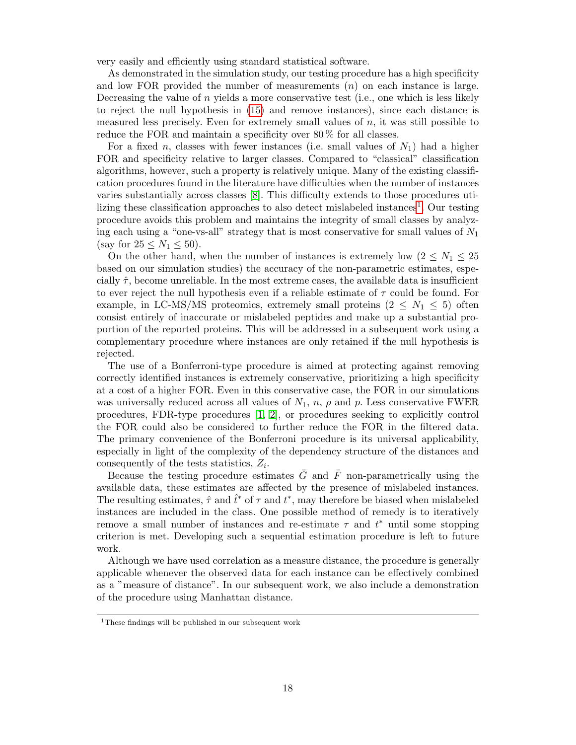very easily and efficiently using standard statistical software.

As demonstrated in the simulation study, our testing procedure has a high specificity and low FOR provided the number of measurements  $(n)$  on each instance is large. Decreasing the value of  $n$  yields a more conservative test (i.e., one which is less likely to reject the null hypothesis in [\(15\)](#page-4-2) and remove instances), since each distance is measured less precisely. Even for extremely small values of  $n$ , it was still possible to reduce the FOR and maintain a specificity over 80 % for all classes.

For a fixed n, classes with fewer instances (i.e. small values of  $N_1$ ) had a higher FOR and specificity relative to larger classes. Compared to "classical" classification algorithms, however, such a property is relatively unique. Many of the existing classification procedures found in the literature have difficulties when the number of instances varies substantially across classes [\[8\]](#page-18-5). This difficulty extends to those procedures uti-lizing these classification approaches to also detect mislabeled instances<sup>[1](#page-17-0)</sup>. Our testing procedure avoids this problem and maintains the integrity of small classes by analyzing each using a "one-vs-all" strategy that is most conservative for small values of  $N_1$ (say for  $25 \le N_1 \le 50$ ).

On the other hand, when the number of instances is extremely low  $(2 \leq N_1 \leq 25)$ based on our simulation studies) the accuracy of the non-parametric estimates, especially  $\hat{\tau}$ , become unreliable. In the most extreme cases, the available data is insufficient to ever reject the null hypothesis even if a reliable estimate of  $\tau$  could be found. For example, in LC-MS/MS proteomics, extremely small proteins  $(2 \le N_1 \le 5)$  often consist entirely of inaccurate or mislabeled peptides and make up a substantial proportion of the reported proteins. This will be addressed in a subsequent work using a complementary procedure where instances are only retained if the null hypothesis is rejected.

The use of a Bonferroni-type procedure is aimed at protecting against removing correctly identified instances is extremely conservative, prioritizing a high specificity at a cost of a higher FOR. Even in this conservative case, the FOR in our simulations was universally reduced across all values of  $N_1$ ,  $n$ ,  $\rho$  and  $p$ . Less conservative FWER procedures, FDR-type procedures [\[1,](#page-18-6) [2\]](#page-18-7), or procedures seeking to explicitly control the FOR could also be considered to further reduce the FOR in the filtered data. The primary convenience of the Bonferroni procedure is its universal applicability, especially in light of the complexity of the dependency structure of the distances and consequently of the tests statistics,  $Z_i$ .

Because the testing procedure estimates  $\overline{G}$  and  $\overline{F}$  non-parametrically using the available data, these estimates are affected by the presence of mislabeled instances. The resulting estimates,  $\hat{\tau}$  and  $\hat{t}^*$  of  $\tau$  and  $t^*$ , may therefore be biased when mislabeled instances are included in the class. One possible method of remedy is to iteratively remove a small number of instances and re-estimate  $\tau$  and  $t^*$  until some stopping criterion is met. Developing such a sequential estimation procedure is left to future work.

Although we have used correlation as a measure distance, the procedure is generally applicable whenever the observed data for each instance can be effectively combined as a "measure of distance". In our subsequent work, we also include a demonstration of the procedure using Manhattan distance.

<span id="page-17-0"></span><sup>1</sup>These findings will be published in our subsequent work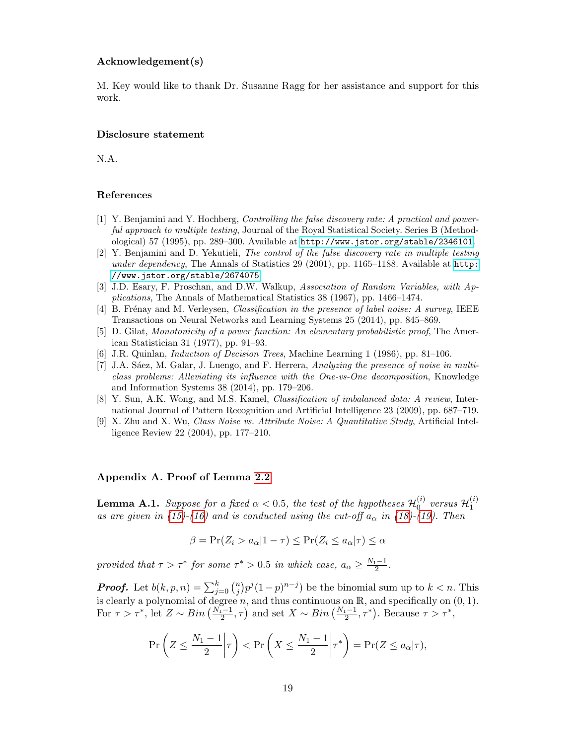### Acknowledgement(s)

M. Key would like to thank Dr. Susanne Ragg for her assistance and support for this work.

## Disclosure statement

N.A.

#### References

- <span id="page-18-6"></span>[1] Y. Benjamini and Y. Hochberg, Controlling the false discovery rate: A practical and powerful approach to multiple testing, Journal of the Royal Statistical Society. Series B (Methodological) 57 (1995), pp. 289–300. Available at <http://www.jstor.org/stable/2346101>.
- <span id="page-18-7"></span>[2] Y. Benjamini and D. Yekutieli, The control of the false discovery rate in multiple testing under dependency, The Annals of Statistics 29 (2001), pp. 1165–1188. Available at [http:](http://www.jstor.org/stable/2674075) [//www.jstor.org/stable/2674075](http://www.jstor.org/stable/2674075).
- <span id="page-18-4"></span>[3] J.D. Esary, F. Proschan, and D.W. Walkup, Association of Random Variables, with Applications, The Annals of Mathematical Statistics 38 (1967), pp. 1466–1474.
- <span id="page-18-3"></span>[4] B. Frénay and M. Verleysen, *Classification in the presence of label noise: A survey*, IEEE Transactions on Neural Networks and Learning Systems 25 (2014), pp. 845–869.
- <span id="page-18-8"></span>[5] D. Gilat, Monotonicity of a power function: An elementary probabilistic proof, The American Statistician 31 (1977), pp. 91–93.
- <span id="page-18-0"></span>[6] J.R. Quinlan, Induction of Decision Trees, Machine Learning 1 (1986), pp. 81–106.
- <span id="page-18-1"></span>[7] J.A. Sáez, M. Galar, J. Luengo, and F. Herrera, Analyzing the presence of noise in multiclass problems: Alleviating its influence with the One-vs-One decomposition, Knowledge and Information Systems 38 (2014), pp. 179–206.
- <span id="page-18-5"></span>[8] Y. Sun, A.K. Wong, and M.S. Kamel, Classification of imbalanced data: A review, International Journal of Pattern Recognition and Artificial Intelligence 23 (2009), pp. 687–719.
- <span id="page-18-2"></span>[9] X. Zhu and X. Wu, *Class Noise vs. Attribute Noise: A Quantitative Study*, Artificial Intelligence Review 22 (2004), pp. 177–210.

## Appendix A. Proof of Lemma [2.2](#page-6-0)

**Lemma A.1.** Suppose for a fixed  $\alpha < 0.5$ , the test of the hypotheses  $\mathcal{H}_0^{(i)}$  $\overset{(i)}{0}$  versus  $\mathcal{H}^{(i)}_1$ 1 as are given in [\(15\)](#page-4-2)-[\(16\)](#page-4-3) and is conducted using the cut-off  $a_{\alpha}$  in [\(18\)](#page-5-1)-[\(19\)](#page-5-2). Then

$$
\beta = \Pr(Z_i > a_\alpha | 1 - \tau) \le \Pr(Z_i \le a_\alpha | \tau) \le \alpha
$$

provided that  $\tau > \tau^*$  for some  $\tau^* > 0.5$  in which case,  $a_\alpha \geq \frac{N_1 - 1}{2}$ .

**Proof.** Let  $b(k, p, n) = \sum_{j=0}^{k} {n \choose j}$  $\binom{n}{j} p^j (1-p)^{n-j}$  be the binomial sum up to  $k < n$ . This is clearly a polynomial of degree n, and thus continuous on R, and specifically on  $(0, 1)$ . For  $\tau > \tau^*$ , let  $Z \sim Bin\left(\frac{N_1-1}{2}, \tau\right)$  and set  $X \sim Bin\left(\frac{N_1-1}{2}, \tau^*\right)$ . Because  $\tau > \tau^*$ ,

$$
\Pr\left(Z \le \frac{N_1 - 1}{2} \middle| \tau\right) < \Pr\left(X \le \frac{N_1 - 1}{2} \middle| \tau^*\right) = \Pr(Z \le a_\alpha | \tau),
$$